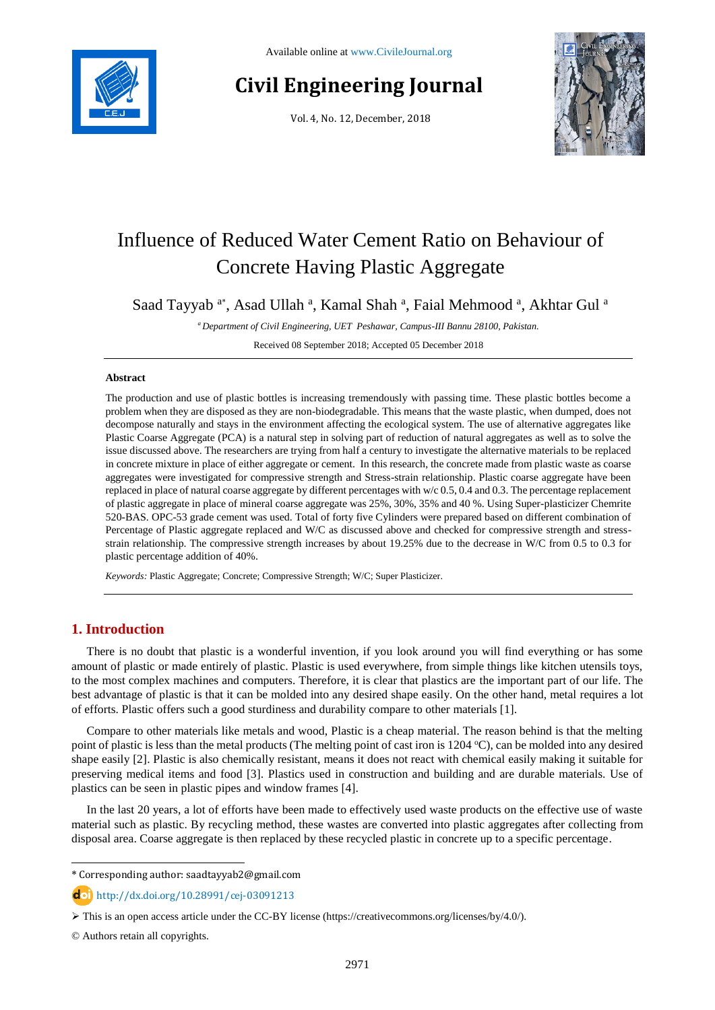

# **Civil Engineering Journal**

Vol. 4, No. 12, December, 2018



# Influence of Reduced Water Cement Ratio on Behaviour of Concrete Having Plastic Aggregate

Saad Tayyab <sup>a\*</sup>, Asad Ullah <sup>a</sup>, Kamal Shah <sup>a</sup>, Faial Mehmood <sup>a</sup>, Akhtar Gul <sup>a</sup>

*<sup>a</sup> Department of Civil Engineering, UET Peshawar, Campus-III Bannu 28100, Pakistan.*

Received 08 September 2018; Accepted 05 December 2018

#### **Abstract**

The production and use of plastic bottles is increasing tremendously with passing time. These plastic bottles become a problem when they are disposed as they are non-biodegradable. This means that the waste plastic, when dumped, does not decompose naturally and stays in the environment affecting the ecological system. The use of alternative aggregates like Plastic Coarse Aggregate (PCA) is a natural step in solving part of reduction of natural aggregates as well as to solve the issue discussed above. The researchers are trying from half a century to investigate the alternative materials to be replaced in concrete mixture in place of either aggregate or cement. In this research, the concrete made from plastic waste as coarse aggregates were investigated for compressive strength and Stress-strain relationship. Plastic coarse aggregate have been replaced in place of natural coarse aggregate by different percentages with w/c 0.5, 0.4 and 0.3. The percentage replacement of plastic aggregate in place of mineral coarse aggregate was 25%, 30%, 35% and 40 %. Using Super-plasticizer Chemrite 520-BAS. OPC-53 grade cement was used. Total of forty five Cylinders were prepared based on different combination of Percentage of Plastic aggregate replaced and W/C as discussed above and checked for compressive strength and stressstrain relationship. The compressive strength increases by about 19.25% due to the decrease in W/C from 0.5 to 0.3 for plastic percentage addition of 40%.

*Keywords:* Plastic Aggregate; Concrete; Compressive Strength; W/C; Super Plasticizer.

## **1. Introduction**

There is no doubt that plastic is a wonderful invention, if you look around you will find everything or has some amount of plastic or made entirely of plastic. Plastic is used everywhere, from simple things like kitchen utensils toys, to the most complex machines and computers. Therefore, it is clear that plastics are the important part of our life. The best advantage of plastic is that it can be molded into any desired shape easily. On the other hand, metal requires a lot of efforts. Plastic offers such a good sturdiness and durability compare to other materials [1].

Compare to other materials like metals and wood, Plastic is a cheap material. The reason behind is that the melting point of plastic is less than the metal products (The melting point of cast iron is  $1204 \degree C$ ), can be molded into any desired shape easily [2]. Plastic is also chemically resistant, means it does not react with chemical easily making it suitable for preserving medical items and food [3]. Plastics used in construction and building and are durable materials. Use of plastics can be seen in plastic pipes and window frames [4].

In the last 20 years, a lot of efforts have been made to effectively used waste products on the effective use of waste material such as plastic. By recycling method, these wastes are converted into plastic aggregates after collecting from disposal area. Coarse aggregate is then replaced by these recycled plastic in concrete up to a specific percentage.

\* Corresponding author: saadtayyab2@gmail.com

http://dx.doi.org/10.28991/cej-03091213

© Authors retain all copyrights.

l

This is an open access article under the CC-BY license [\(https://creativecommons.org/licenses/by/4.0/\)](https://creativecommons.org/licenses/by/4.0/).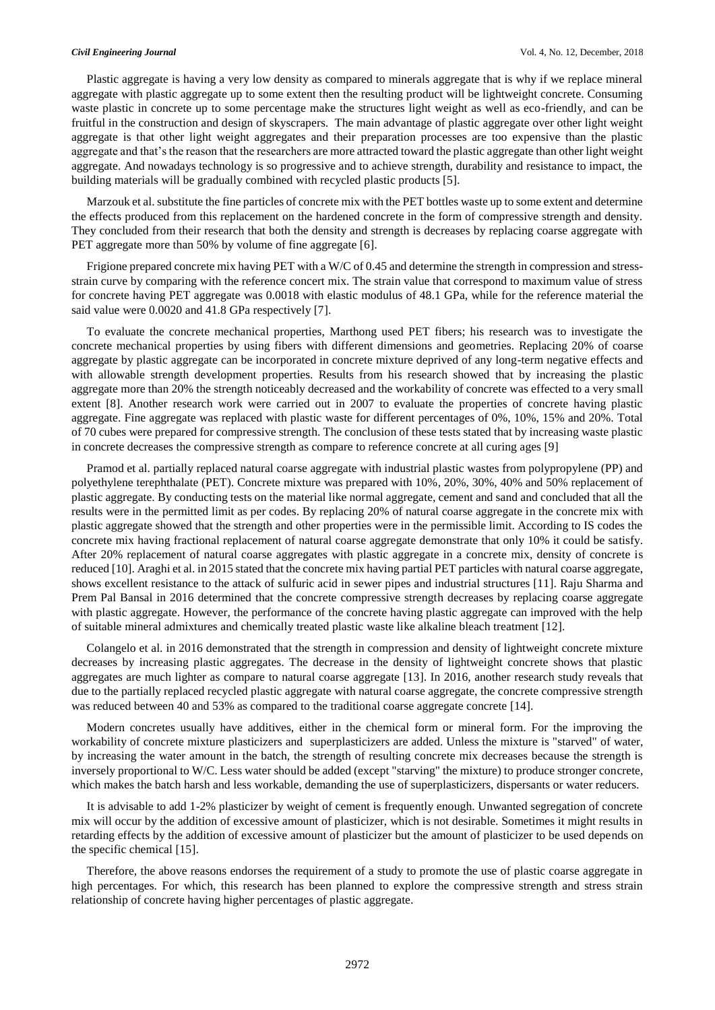Plastic aggregate is having a very low density as compared to minerals aggregate that is why if we replace mineral aggregate with plastic aggregate up to some extent then the resulting product will be lightweight concrete. Consuming waste plastic in concrete up to some percentage make the structures light weight as well as eco-friendly, and can be fruitful in the construction and design of skyscrapers. The main advantage of plastic aggregate over other light weight aggregate is that other light weight aggregates and their preparation processes are too expensive than the plastic aggregate and that's the reason that the researchers are more attracted toward the plastic aggregate than other light weight aggregate. And nowadays technology is so progressive and to achieve strength, durability and resistance to impact, the building materials will be gradually combined with recycled plastic products [5].

Marzouk et al. substitute the fine particles of concrete mix with the PET bottles waste up to some extent and determine the effects produced from this replacement on the hardened concrete in the form of compressive strength and density. They concluded from their research that both the density and strength is decreases by replacing coarse aggregate with PET aggregate more than 50% by volume of fine aggregate [6].

Frigione prepared concrete mix having PET with a W/C of 0.45 and determine the strength in compression and stressstrain curve by comparing with the reference concert mix. The strain value that correspond to maximum value of stress for concrete having PET aggregate was 0.0018 with elastic modulus of 48.1 GPa, while for the reference material the said value were 0.0020 and 41.8 GPa respectively [7].

To evaluate the concrete mechanical properties, Marthong used PET fibers; his research was to investigate the concrete mechanical properties by using fibers with different dimensions and geometries. Replacing 20% of coarse aggregate by plastic aggregate can be incorporated in concrete mixture deprived of any long-term negative effects and with allowable strength development properties. Results from his research showed that by increasing the plastic aggregate more than 20% the strength noticeably decreased and the workability of concrete was effected to a very small extent [8]. Another research work were carried out in 2007 to evaluate the properties of concrete having plastic aggregate. Fine aggregate was replaced with plastic waste for different percentages of 0%, 10%, 15% and 20%. Total of 70 cubes were prepared for compressive strength. The conclusion of these tests stated that by increasing waste plastic in concrete decreases the compressive strength as compare to reference concrete at all curing ages [9]

Pramod et al. partially replaced natural coarse aggregate with industrial plastic wastes from polypropylene (PP) and polyethylene terephthalate (PET). Concrete mixture was prepared with 10%, 20%, 30%, 40% and 50% replacement of plastic aggregate. By conducting tests on the material like normal aggregate, cement and sand and concluded that all the results were in the permitted limit as per codes. By replacing 20% of natural coarse aggregate in the concrete mix with plastic aggregate showed that the strength and other properties were in the permissible limit. According to IS codes the concrete mix having fractional replacement of natural coarse aggregate demonstrate that only 10% it could be satisfy. After 20% replacement of natural coarse aggregates with plastic aggregate in a concrete mix, density of concrete is reduced [10]. Araghi et al. in 2015 stated that the concrete mix having partial PET particles with natural coarse aggregate, shows excellent resistance to the attack of sulfuric acid in sewer pipes and industrial structures [11]. Raju Sharma and Prem Pal Bansal in 2016 determined that the concrete compressive strength decreases by replacing coarse aggregate with plastic aggregate. However, the performance of the concrete having plastic aggregate can improved with the help of suitable mineral admixtures and chemically treated plastic waste like alkaline bleach treatment [12].

Colangelo et al. in 2016 demonstrated that the strength in compression and density of lightweight concrete mixture decreases by increasing plastic aggregates. The decrease in the density of lightweight concrete shows that plastic aggregates are much lighter as compare to natural coarse aggregate [13]. In 2016, another research study reveals that due to the partially replaced recycled plastic aggregate with natural coarse aggregate, the concrete compressive strength was reduced between 40 and 53% as compared to the traditional coarse aggregate concrete [14].

Modern concretes usually have additives, either in the chemical form or mineral form. For the improving the workability of concrete mixture plasticizers and [superplasticizers](https://en.wikipedia.org/wiki/Superplasticizer) are added. Unless the mixture is "starved" of water, by increasing the water amount in the batch, the strength of resulting concrete mix decreases because the strength is inversely proportional to W/C. Less water should be added (except "starving" the mixture) to produce stronger concrete, which makes the batch harsh and less workable, demanding the use of superplasticizers, dispersants or water reducers.

It is advisable to add 1-2% plasticizer by weight of cement is frequently enough. Unwanted segregation of concrete mix will occur by the addition of excessive amount of plasticizer, which is not desirable. Sometimes it might results in retarding effects by the addition of excessive amount of plasticizer but the amount of plasticizer to be used depends on the specific chemical [15].

Therefore, the above reasons endorses the requirement of a study to promote the use of plastic coarse aggregate in high percentages. For which, this research has been planned to explore the compressive strength and stress strain relationship of concrete having higher percentages of plastic aggregate.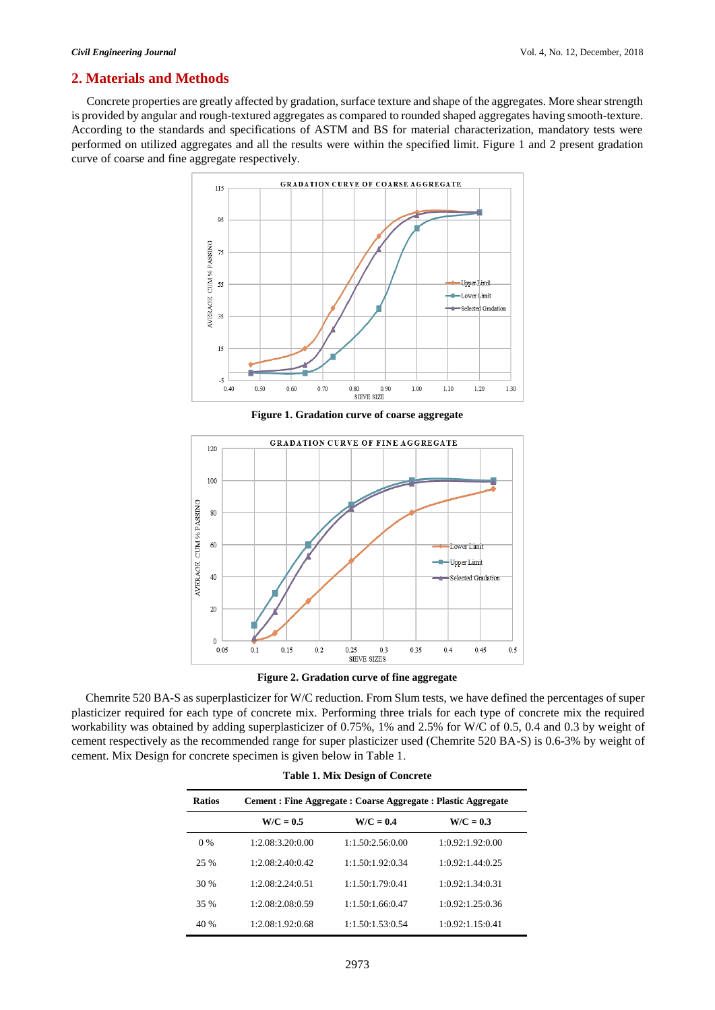## **2. Materials and Methods**

Concrete properties are greatly affected by gradation, surface texture and shape of the aggregates. More shear strength is provided by angular and rough-textured aggregates as compared to rounded shaped aggregates having smooth-texture. According to the standards and specifications of ASTM and BS for material characterization, mandatory tests were performed on utilized aggregates and all the results were within the specified limit. Figure 1 and 2 present gradation curve of coarse and fine aggregate respectively.



**Figure 1. Gradation curve of coarse aggregate**



**Figure 2. Gradation curve of fine aggregate**

Chemrite 520 BA-S as superplasticizer for W/C reduction. From Slum tests, we have defined the percentages of super plasticizer required for each type of concrete mix. Performing three trials for each type of concrete mix the required workability was obtained by adding superplasticizer of 0.75%, 1% and 2.5% for W/C of 0.5, 0.4 and 0.3 by weight of cement respectively as the recommended range for super plasticizer used (Chemrite 520 BA-S) is 0.6-3% by weight of cement. Mix Design for concrete specimen is given below in Table 1.

| <b>Table 1. Mix Design of Concrete</b> |                                                                |                  |                  |  |  |  |  |  |
|----------------------------------------|----------------------------------------------------------------|------------------|------------------|--|--|--|--|--|
| <b>Ratios</b>                          | Cement : Fine Aggregate : Coarse Aggregate : Plastic Aggregate |                  |                  |  |  |  |  |  |
|                                        | $W/C = 0.5$                                                    | $W/C = 0.4$      | $W/C = 0.3$      |  |  |  |  |  |
| $0\%$                                  | 1:2.08:3.20:0.00                                               | 1:1.50:2.56:0.00 | 1:0.92:1.92:0.00 |  |  |  |  |  |
| 25 %                                   | 1.208.240042                                                   | 1:1.50:1.92:0.34 | 1:0.92:1.44:0.25 |  |  |  |  |  |
| 30 %                                   | 1:2.08:2.24:0.51                                               | 1:1.50:1.79:0.41 | 1:0.92:1.34:0.31 |  |  |  |  |  |
| 35 %                                   | 1:2.08:2.08:0.59                                               | 1:1.50:1.66:0.47 | 1:0.92:1.25:0.36 |  |  |  |  |  |
| 40 %                                   | 1:2.08:1.92:0.68                                               | 1:1.50:1.53:0.54 | 1:0.92:1.15:0.41 |  |  |  |  |  |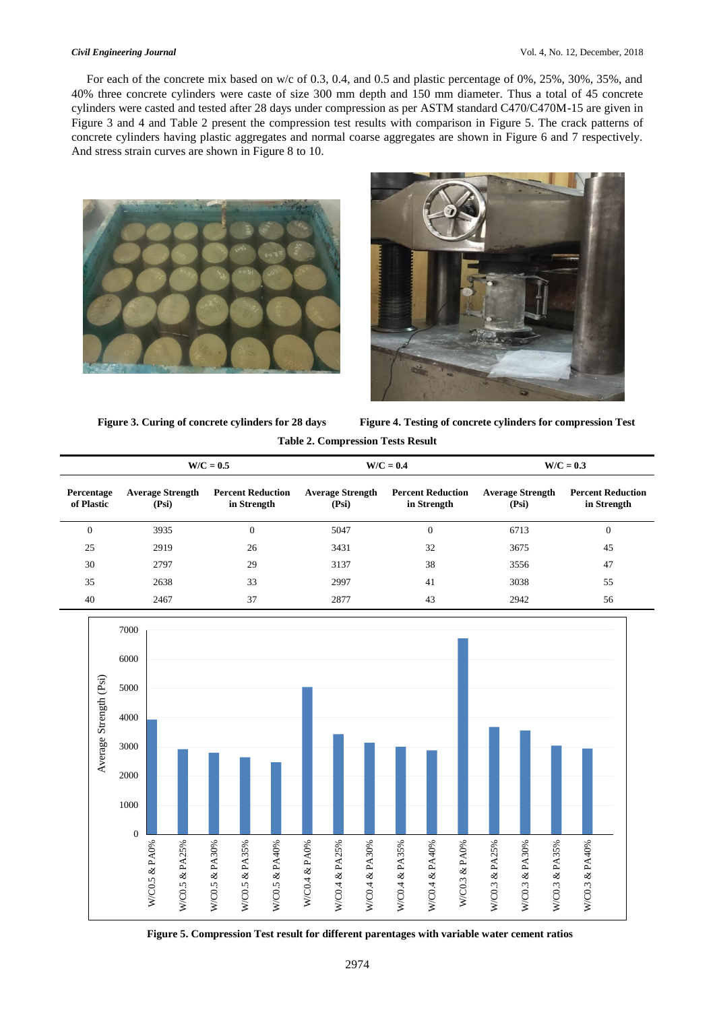For each of the concrete mix based on w/c of 0.3, 0.4, and 0.5 and plastic percentage of 0%, 25%, 30%, 35%, and 40% three concrete cylinders were caste of size 300 mm depth and 150 mm diameter. Thus a total of 45 concrete cylinders were casted and tested after 28 days under compression as per ASTM standard C470/C470M-15 are given in Figure 3 and 4 and Table 2 present the compression test results with comparison in Figure 5. The crack patterns of concrete cylinders having plastic aggregates and normal coarse aggregates are shown in Figure 6 and 7 respectively. And stress strain curves are shown in Figure 8 to 10.





**Figure 3. Curing of concrete cylinders for 28 days Figure 4. Testing of concrete cylinders for compression Test Table 2. Compression Tests Result** 

|                                 | $W/C = 0.5$                      |                                         | $W/C = 0.4$                      |                                         | $W/C = 0.3$                      |                                         |
|---------------------------------|----------------------------------|-----------------------------------------|----------------------------------|-----------------------------------------|----------------------------------|-----------------------------------------|
| <b>Percentage</b><br>of Plastic | <b>Average Strength</b><br>(Psi) | <b>Percent Reduction</b><br>in Strength | <b>Average Strength</b><br>(Psi) | <b>Percent Reduction</b><br>in Strength | <b>Average Strength</b><br>(Psi) | <b>Percent Reduction</b><br>in Strength |
| $\theta$                        | 3935                             | $\mathbf{0}$                            | 5047                             | $\mathbf{0}$                            | 6713                             | $\overline{0}$                          |
| 25                              | 2919                             | 26                                      | 3431                             | 32                                      | 3675                             | 45                                      |
| 30                              | 2797                             | 29                                      | 3137                             | 38                                      | 3556                             | 47                                      |
| 35                              | 2638                             | 33                                      | 2997                             | 41                                      | 3038                             | 55                                      |
| 40                              | 2467                             | 37                                      | 2877                             | 43                                      | 2942                             | 56                                      |



 **Figure 5. Compression Test result for different parentages with variable water cement ratios**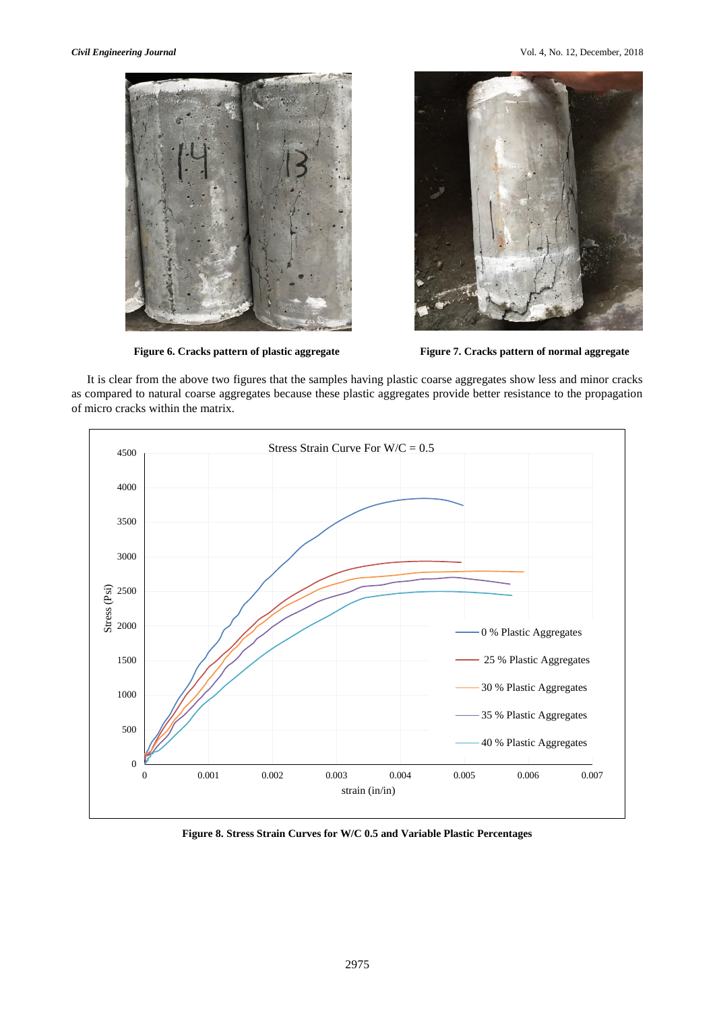



Figure 6. Cracks pattern of plastic aggregate Figure 7. Cracks pattern of normal aggregate

It is clear from the above two figures that the samples having plastic coarse aggregates show less and minor cracks as compared to natural coarse aggregates because these plastic aggregates provide better resistance to the propagation of micro cracks within the matrix.



**Figure 8. Stress Strain Curves for W/C 0.5 and Variable Plastic Percentages**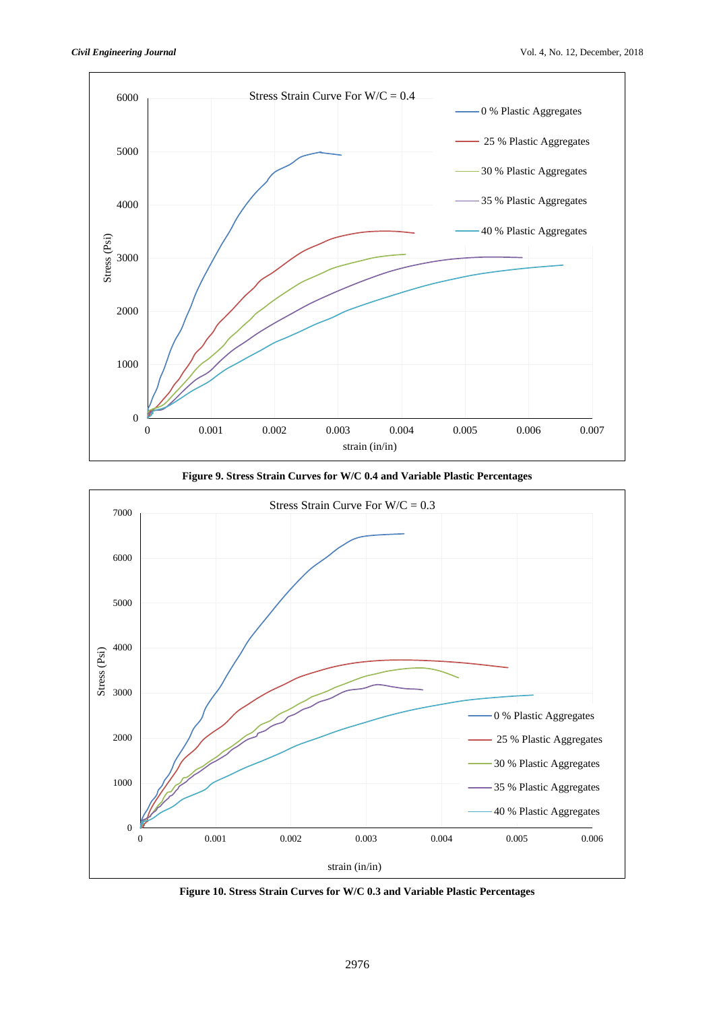





**Figure 10. Stress Strain Curves for W/C 0.3 and Variable Plastic Percentages**